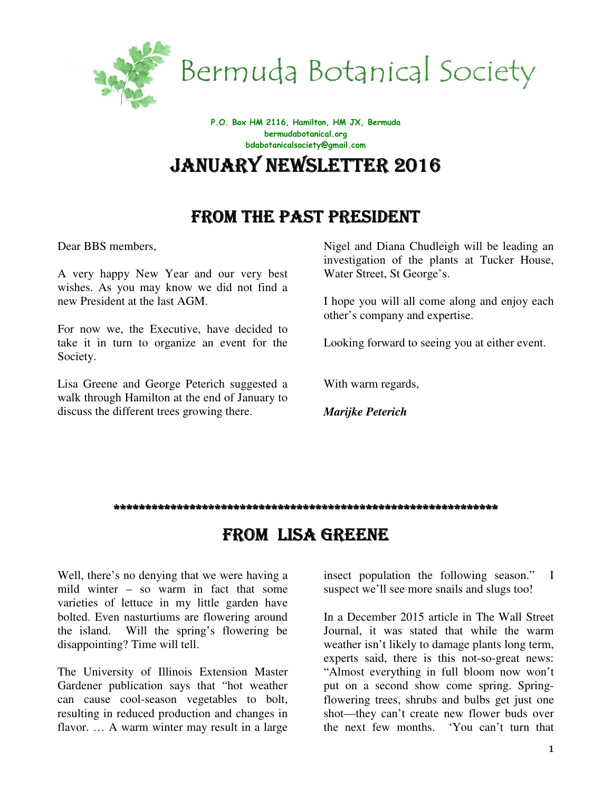

Bermuda Botanical Society

P.O. Box HM 2116, Hamilton, HM JX, Bermuda bermudabotanical.org bdabotanicalsociety@gmail.com

JANUARY NEWSLETTER 2016

# FROM THE PAST PRESIDENT

Dear BBS members,

A very happy New Year and our very best wishes. As you may know we did not find a new President at the last AGM.

For now we, the Executive, have decided to take it in turn to organize an event for the Society.

Lisa Greene and George Peterich suggested a walk through Hamilton at the end of January to discuss the different trees growing there.

Nigel and Diana Chudleigh will be leading an investigation of the plants at Tucker House, Water Street, St George's.

I hope you will all come along and enjoy each other's company and expertise.

Looking forward to seeing you at either event.

With warm regards,

*Marijke Peterich* 

#### \*\*\*\*\*\*\*\*\*\*\*\*\*\*\*\*\*\*\*\*\*\*\*\*\*\*\*\*\*\*\*\*\*\*\*\*\*\*\*\*\*\*\*\*\*\*\*\*\*\*\*\*\*\*\*\*\*\*\*\*\*

### FROM LISA GREENE

Well, there's no denying that we were having a mild winter – so warm in fact that some varieties of lettuce in my little garden have bolted. Even nasturtiums are flowering around the island. Will the spring's flowering be disappointing? Time will tell.

The University of Illinois Extension Master Gardener publication says that "hot weather can cause cool-season vegetables to bolt, resulting in reduced production and changes in flavor. … A warm winter may result in a large insect population the following season." I suspect we'll see more snails and slugs too!

In a December 2015 article in The Wall Street Journal, it was stated that while the warm weather isn't likely to damage plants long term, experts said, there is this not-so-great news: "Almost everything in full bloom now won't put on a second show come spring. Springflowering trees, shrubs and bulbs get just one shot—they can't create new flower buds over the next few months. 'You can't turn that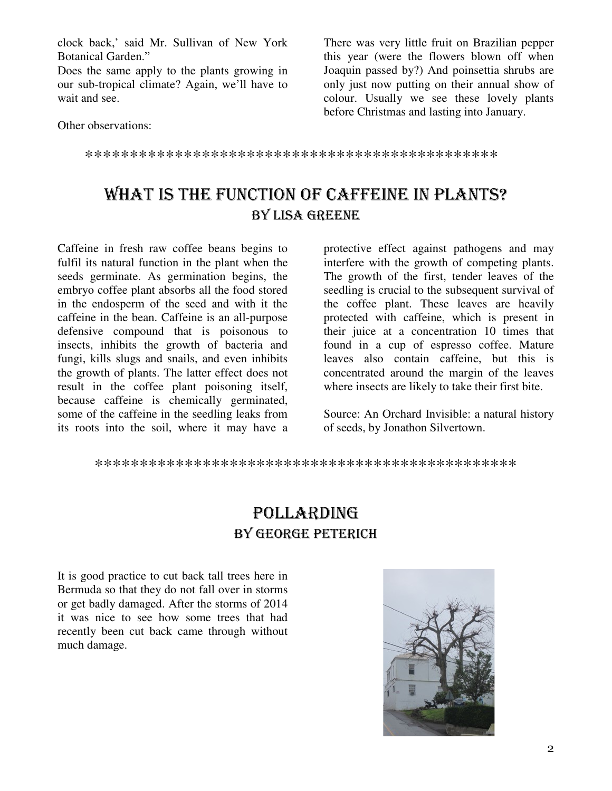clock back,' said Mr. Sullivan of New York **Botanical Garden."** 

Does the same apply to the plants growing in our sub-tropical climate? Again, we'll have to wait and see.

There was very little fruit on Brazilian pepper this year (were the flowers blown off when Joaquin passed by?) And poinsettia shrubs are only just now putting on their annual show of colour. Usually we see these lovely plants before Christmas and lasting into January.

Other observations:

# WHAT IS THE FUNCTION OF CAFFEINE IN PLANTS? BY LISA GREENE

Caffeine in fresh raw coffee beans begins to fulfil its natural function in the plant when the seeds germinate. As germination begins, the embryo coffee plant absorbs all the food stored in the endosperm of the seed and with it the caffeine in the bean. Caffeine is an all-purpose defensive compound that is poisonous to insects, inhibits the growth of bacteria and fungi, kills slugs and snails, and even inhibits the growth of plants. The latter effect does not result in the coffee plant poisoning itself, because caffeine is chemically germinated, some of the caffeine in the seedling leaks from its roots into the soil, where it may have a

protective effect against pathogens and may interfere with the growth of competing plants. The growth of the first, tender leaves of the seedling is crucial to the subsequent survival of the coffee plant. These leaves are heavily protected with caffeine, which is present in their juice at a concentration 10 times that found in a cup of espresso coffee. Mature leaves also contain caffeine, but this is concentrated around the margin of the leaves where insects are likely to take their first bite.

Source: An Orchard Invisible: a natural history of seeds, by Jonathon Silvertown.

## **POLLARDING** BY GEORGE PETERICH

It is good practice to cut back tall trees here in Bermuda so that they do not fall over in storms or get badly damaged. After the storms of 2014 it was nice to see how some trees that had recently been cut back came through without much damage.

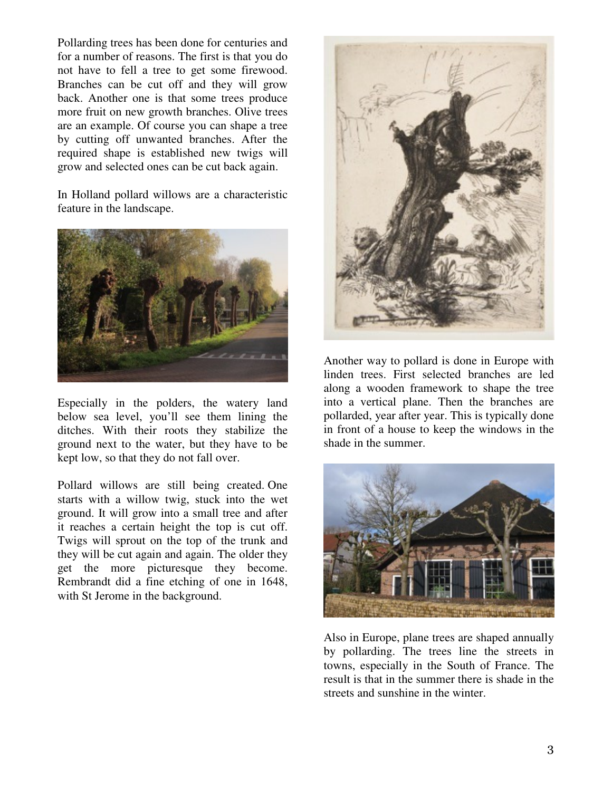Pollarding trees has been done for centuries and for a number of reasons. The first is that you do not have to fell a tree to get some firewood. Branches can be cut off and they will grow back. Another one is that some trees produce more fruit on new growth branches. Olive trees are an example. Of course you can shape a tree by cutting off unwanted branches. After the required shape is established new twigs will grow and selected ones can be cut back again.

In Holland pollard willows are a characteristic feature in the landscape.



Especially in the polders, the watery land below sea level, you'll see them lining the ditches. With their roots they stabilize the ground next to the water, but they have to be kept low, so that they do not fall over.

Pollard willows are still being created. One starts with a willow twig, stuck into the wet ground. It will grow into a small tree and after it reaches a certain height the top is cut off. Twigs will sprout on the top of the trunk and they will be cut again and again. The older they get the more picturesque they become. Rembrandt did a fine etching of one in 1648, with St Jerome in the background.



Another way to pollard is done in Europe with linden trees. First selected branches are led along a wooden framework to shape the tree into a vertical plane. Then the branches are pollarded, year after year. This is typically done in front of a house to keep the windows in the shade in the summer.



Also in Europe, plane trees are shaped annually by pollarding. The trees line the streets in towns, especially in the South of France. The result is that in the summer there is shade in the streets and sunshine in the winter.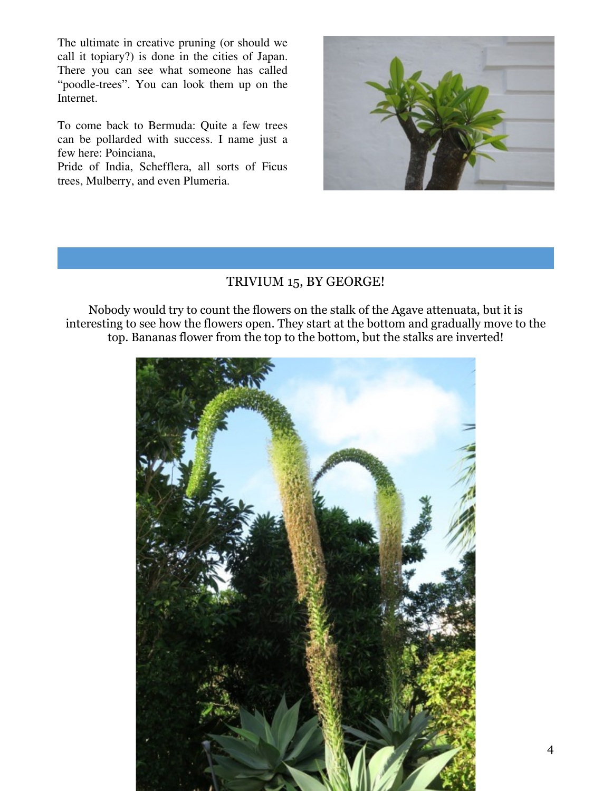The ultimate in creative pruning (or should we call it topiary?) is done in the cities of Japan. There you can see what someone has called "poodle-trees". You can look them up on the Internet.

To come back to Bermuda: Quite a few trees can be pollarded with success. I name just a few here: Poinciana,

Pride of India, Schefflera, all sorts of Ficus trees, Mulberry, and even Plumeria.



#### TRIVIUM 15, BY GEORGE!

Nobody would try to count the flowers on the stalk of the Agave attenuata, but it is interesting to see how the flowers open. They start at the bottom and gradually move to the top. Bananas flower from the top to the bottom, but the stalks are inverted!